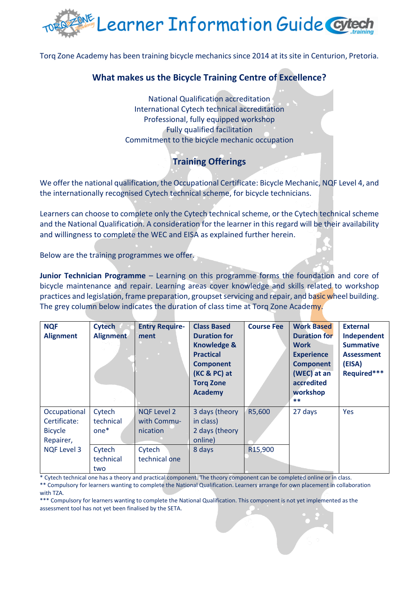

Torq Zone Academy has been training bicycle mechanics since 2014 at its site in Centurion, Pretoria.

## **What makes us the Bicycle Training Centre of Excellence?**

National Qualification accreditation International Cytech technical accreditation Professional, fully equipped workshop Fully qualified facilitation Commitment to the bicycle mechanic occupation

## **Training Offerings**

We offer the national qualification, the Occupational Certificate: Bicycle Mechanic, NQF Level 4, and the internationally recognised Cytech technical scheme, for bicycle technicians.

Learners can choose to complete only the Cytech technical scheme, or the Cytech technical scheme and the National Qualification. A consideration for the learner in this regard will be their availability and willingness to complete the WEC and EISA as explained further herein.

Below are the training programmes we offer.

**Junior Technician Programme** – Learning on this programme forms the foundation and core of bicycle maintenance and repair. Learning areas cover knowledge and skills related to workshop practices and legislation, frame preparation, groupset servicing and repair, and basic wheel building. The grey column below indicates the duration of class time at Torq Zone Academy.

| <b>NQF</b><br><b>Alignment</b>                                                    | <b>Cytech</b><br><b>Alignment</b>                           | <b>Entry Require-</b><br>ment                                            | <b>Class Based</b><br><b>Duration for</b><br><b>Knowledge &amp;</b><br><b>Practical</b><br><b>Component</b><br>(KC & PC) at<br><b>Torg Zone</b><br><b>Academy</b> | <b>Course Fee</b>              | <b>Work Based</b><br><b>Duration for</b><br><b>Work</b><br><b>Experience</b><br><b>Component</b><br>(WEC) at an<br>accredited<br>workshop<br>$***$ | <b>External</b><br>Independent<br><b>Summative</b><br><b>Assessment</b><br>(EISA)<br>Required*** |
|-----------------------------------------------------------------------------------|-------------------------------------------------------------|--------------------------------------------------------------------------|-------------------------------------------------------------------------------------------------------------------------------------------------------------------|--------------------------------|----------------------------------------------------------------------------------------------------------------------------------------------------|--------------------------------------------------------------------------------------------------|
| Occupational<br>Certificate:<br><b>Bicycle</b><br>Repairer,<br><b>NQF Level 3</b> | Cytech<br>technical<br>$one*$<br>Cytech<br>technical<br>two | <b>NQF Level 2</b><br>with Commu-<br>nication<br>Cytech<br>technical one | 3 days (theory<br>in class)<br>2 days (theory<br>online)<br>8 days                                                                                                | R5,600<br>R <sub>15</sub> ,900 | 27 days                                                                                                                                            | <b>Yes</b>                                                                                       |

\* Cytech technical one has a theory and practical component. The theory component can be completed online or in class.

\*\* Compulsory for learners wanting to complete the National Qualification. Learners arrange for own placement in collaboration with TZA.

\*\*\* Compulsory for learners wanting to complete the National Qualification. This component is not yet implemented as the assessment tool has not yet been finalised by the SETA.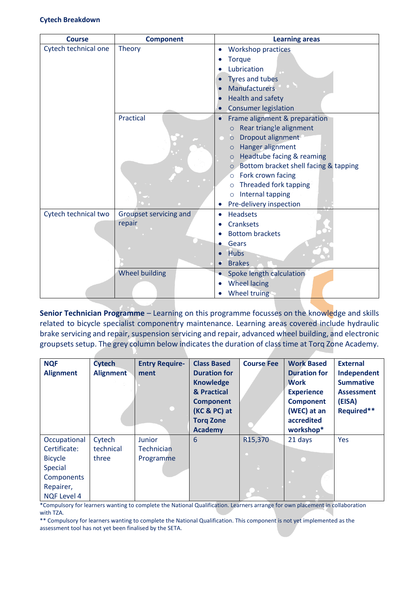| <b>Course</b>        | <b>Component</b>       | <b>Learning areas</b>                            |  |  |
|----------------------|------------------------|--------------------------------------------------|--|--|
| Cytech technical one | <b>Theory</b>          | <b>Workshop practices</b><br>$\bullet$           |  |  |
|                      |                        | <b>Torque</b>                                    |  |  |
|                      |                        | Lubrication                                      |  |  |
|                      |                        | Tyres and tubes                                  |  |  |
|                      |                        | <b>Manufacturers</b>                             |  |  |
|                      |                        | Health and safety                                |  |  |
|                      |                        | <b>Consumer legislation</b>                      |  |  |
|                      | Practical              | Frame alignment & preparation                    |  |  |
|                      |                        | Rear triangle alignment<br>$\circ$               |  |  |
|                      |                        | Dropout alignment<br>$\circ$                     |  |  |
|                      |                        | Hanger alignment<br>$\circ$                      |  |  |
|                      |                        | Headtube facing & reaming<br>$\circ$             |  |  |
|                      |                        | Bottom bracket shell facing & tapping<br>$\circ$ |  |  |
|                      |                        | Fork crown facing<br>$\circ$                     |  |  |
|                      |                        | Threaded fork tapping<br>$\circ$                 |  |  |
|                      |                        | Internal tapping<br>$\circ$                      |  |  |
|                      |                        | Pre-delivery inspection                          |  |  |
| Cytech technical two | Groupset servicing and | <b>Headsets</b><br>$\bullet$                     |  |  |
|                      | repair                 | <b>Cranksets</b>                                 |  |  |
|                      |                        | <b>Bottom brackets</b>                           |  |  |
|                      |                        | Gears                                            |  |  |
|                      |                        | <b>Hubs</b>                                      |  |  |
|                      |                        | <b>Brakes</b>                                    |  |  |
|                      | <b>Wheel building</b>  | Spoke length calculation                         |  |  |
|                      |                        | <b>Wheel lacing</b>                              |  |  |
|                      |                        | Wheel truing                                     |  |  |

**Senior Technician Programme** – Learning on this programme focusses on the knowledge and skills related to bicycle specialist componentry maintenance. Learning areas covered include hydraulic brake servicing and repair, suspension servicing and repair, advanced wheel building, and electronic groupsets setup. The grey column below indicates the duration of class time at Torq Zone Academy.

| <b>NQF</b><br><b>Alignment</b> | <b>Cytech</b><br><b>Alignment</b> | <b>Entry Require-</b><br>ment | <b>Class Based</b><br><b>Duration for</b><br><b>Knowledge</b><br>& Practical<br><b>Component</b> | <b>Course Fee</b>           | <b>Work Based</b><br><b>Duration for</b><br><b>Work</b><br><b>Experience</b><br><b>Component</b> | <b>External</b><br>Independent<br><b>Summative</b><br><b>Assessment</b><br>(EISA) |
|--------------------------------|-----------------------------------|-------------------------------|--------------------------------------------------------------------------------------------------|-----------------------------|--------------------------------------------------------------------------------------------------|-----------------------------------------------------------------------------------|
|                                |                                   |                               | (KC & PC) at<br><b>Torg Zone</b>                                                                 |                             | (WEC) at an<br>accredited                                                                        | Required**                                                                        |
|                                |                                   |                               | <b>Academy</b>                                                                                   |                             | workshop*                                                                                        |                                                                                   |
| Occupational                   | Cytech                            | Junior                        | 6                                                                                                | R <sub>15</sub> ,370        | 21 days                                                                                          | Yes                                                                               |
| Certificate:                   | technical                         | <b>Technician</b>             |                                                                                                  |                             |                                                                                                  |                                                                                   |
| <b>Bicycle</b>                 | three                             | Programme                     |                                                                                                  |                             |                                                                                                  |                                                                                   |
| <b>Special</b>                 |                                   |                               |                                                                                                  | $\mathcal{L}_{\mathcal{A}}$ |                                                                                                  |                                                                                   |
| Components                     |                                   |                               |                                                                                                  |                             |                                                                                                  |                                                                                   |
| Repairer,                      |                                   |                               |                                                                                                  |                             |                                                                                                  |                                                                                   |
| <b>NQF Level 4</b>             |                                   |                               |                                                                                                  |                             |                                                                                                  |                                                                                   |

\*Compulsory for learners wanting to complete the National Qualification. Learners arrange for own placement in collaboration with TZA.

\*\* Compulsory for learners wanting to complete the National Qualification. This component is not yet implemented as the assessment tool has not yet been finalised by the SETA.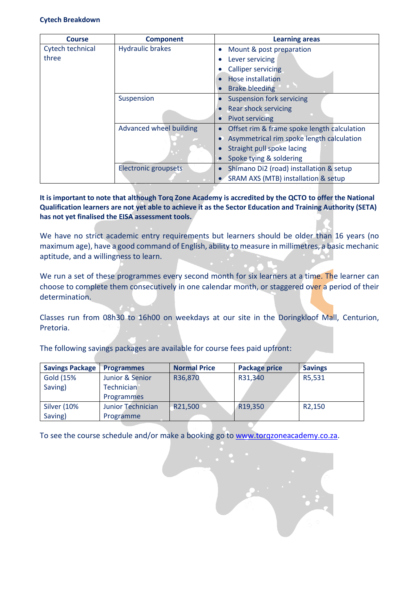## **Cytech Breakdown**

| <b>Course</b>    | <b>Component</b>        | <b>Learning areas</b>                                  |
|------------------|-------------------------|--------------------------------------------------------|
| Cytech technical | <b>Hydraulic brakes</b> | Mount & post preparation<br>$\bullet$                  |
| three            |                         | Lever servicing<br>C                                   |
|                  |                         | <b>Calliper servicing</b>                              |
|                  |                         | Hose installation                                      |
|                  |                         | <b>Brake bleeding</b>                                  |
|                  | Suspension              | <b>Suspension fork servicing</b>                       |
|                  |                         | <b>Rear shock servicing</b>                            |
|                  |                         | <b>Pivot servicing</b>                                 |
|                  | Advanced wheel building | Offset rim & frame spoke length calculation            |
|                  |                         | Asymmetrical rim spoke length calculation<br>$\bullet$ |
|                  |                         | Straight pull spoke lacing                             |
|                  |                         | Spoke tying & soldering                                |
|                  | Electronic groupsets    | Shimano Di2 (road) installation & setup                |
|                  |                         | SRAM AXS (MTB) installation & setup                    |

**It is important to note that although Torq Zone Academy is accredited by the QCTO to offer the National Qualification learners are not yet able to achieve it as the Sector Education and Training Authority (SETA) has not yet finalised the EISA assessment tools.**

We have no strict academic entry requirements but learners should be older than 16 years (no maximum age), have a good command of English, ability to measure in millimetres, a basic mechanic aptitude, and a willingness to learn.

We run a set of these programmes every second month for six learners at a time. The learner can choose to complete them consecutively in one calendar month, or staggered over a period of their determination.

Classes run from 08h30 to 16h00 on weekdays at our site in the Doringkloof Mall, Centurion, Pretoria.

The following savings packages are available for course fees paid upfront:

| <b>Savings Package</b> | <b>Programmes</b>        | <b>Normal Price</b> | <b>Package price</b> | <b>Savings</b>      |
|------------------------|--------------------------|---------------------|----------------------|---------------------|
| Gold (15%              | Junior & Senior          | R36,870             | R31,340              | R5,531              |
| Saving)                | <b>Technician</b>        |                     |                      |                     |
|                        | <b>Programmes</b>        |                     |                      |                     |
| <b>Silver (10%</b>     | <b>Junior Technician</b> | R21,500             | R19,350              | R <sub>2</sub> ,150 |
| Saving)                | Programme                |                     |                      |                     |

To see the course schedule and/or make a booking go to [www.torqzoneacademy.co.za.](http://www.torqzoneacademy.co.za/)